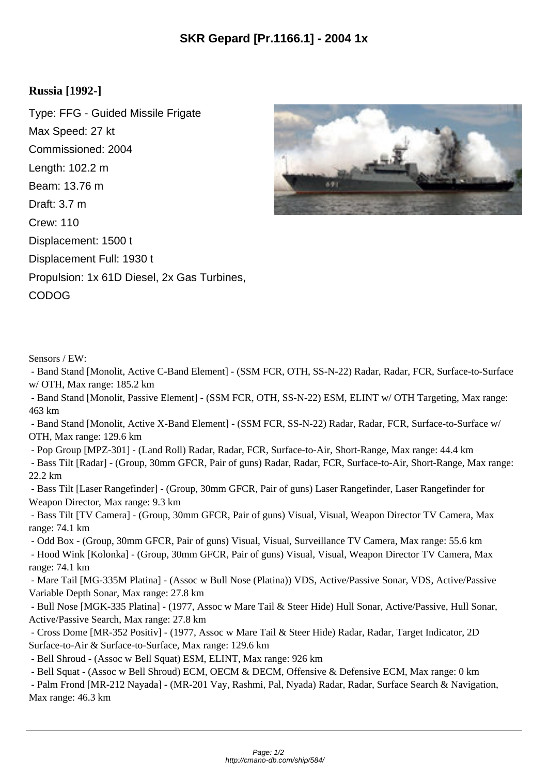## **Russia [1992-]**

Type: FFG - Guided Missile Frigate Max Speed: 27 kt Commissioned: 2004 Length: 102.2 m Beam: 13.76 m Draft: 3.7 m Crew: 110 Displacement: 1500 t Displacement Full: 1930 t Propulsion: 1x 61D Diesel, 2x Gas Turbines, CODOG



Sensors / EW:

 - Band Stand [Monolit, Active C-Band Element] - (SSM FCR, OTH, SS-N-22) Radar, Radar, FCR, Surface-to-Surface w/ OTH, Max range: 185.2 km

 - Band Stand [Monolit, Passive Element] - (SSM FCR, OTH, SS-N-22) ESM, ELINT w/ OTH Targeting, Max range: 463 km

 - Band Stand [Monolit, Active X-Band Element] - (SSM FCR, SS-N-22) Radar, Radar, FCR, Surface-to-Surface w/ OTH, Max range: 129.6 km

- Pop Group [MPZ-301] - (Land Roll) Radar, Radar, FCR, Surface-to-Air, Short-Range, Max range: 44.4 km

 - Bass Tilt [Radar] - (Group, 30mm GFCR, Pair of guns) Radar, Radar, FCR, Surface-to-Air, Short-Range, Max range: 22.2 km

 - Bass Tilt [Laser Rangefinder] - (Group, 30mm GFCR, Pair of guns) Laser Rangefinder, Laser Rangefinder for Weapon Director, Max range: 9.3 km

 - Bass Tilt [TV Camera] - (Group, 30mm GFCR, Pair of guns) Visual, Visual, Weapon Director TV Camera, Max range: 74.1 km

 - Odd Box - (Group, 30mm GFCR, Pair of guns) Visual, Visual, Surveillance TV Camera, Max range: 55.6 km - Hood Wink [Kolonka] - (Group, 30mm GFCR, Pair of guns) Visual, Visual, Weapon Director TV Camera, Max range: 74.1 km

 - Mare Tail [MG-335M Platina] - (Assoc w Bull Nose (Platina)) VDS, Active/Passive Sonar, VDS, Active/Passive Variable Depth Sonar, Max range: 27.8 km

 - Bull Nose [MGK-335 Platina] - (1977, Assoc w Mare Tail & Steer Hide) Hull Sonar, Active/Passive, Hull Sonar, Active/Passive Search, Max range: 27.8 km

 - Cross Dome [MR-352 Positiv] - (1977, Assoc w Mare Tail & Steer Hide) Radar, Radar, Target Indicator, 2D Surface-to-Air & Surface-to-Surface, Max range: 129.6 km

- Bell Shroud - (Assoc w Bell Squat) ESM, ELINT, Max range: 926 km

- Bell Squat - (Assoc w Bell Shroud) ECM, OECM & DECM, Offensive & Defensive ECM, Max range: 0 km

 - Palm Frond [MR-212 Nayada] - (MR-201 Vay, Rashmi, Pal, Nyada) Radar, Radar, Surface Search & Navigation, Max range: 46.3 km